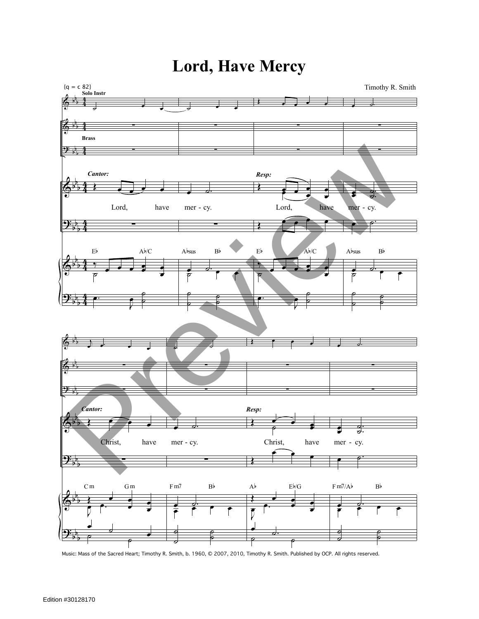

## **Lord, Have Mercy**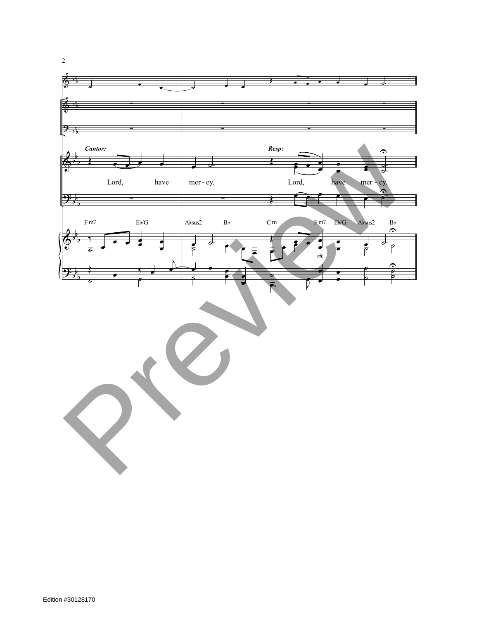

2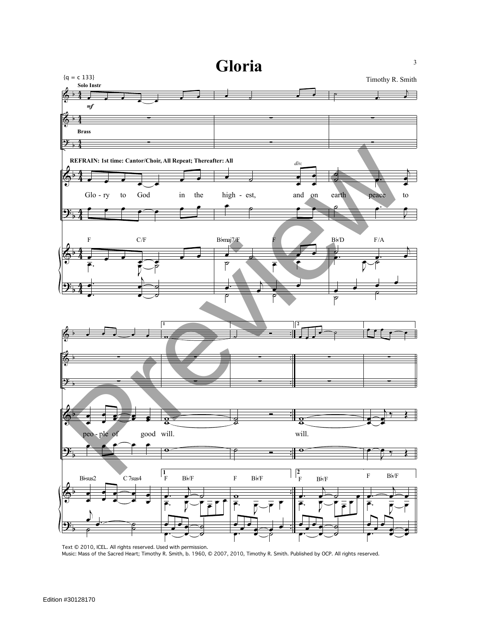

Text © 2010, ICEL. All rights reserved. Used with permission. Music: Mass of the Sacred Heart; Timothy R. Smith, b. 1960, © 2007, 2010, Timothy R. Smith. Published by OCP. All rights reserved.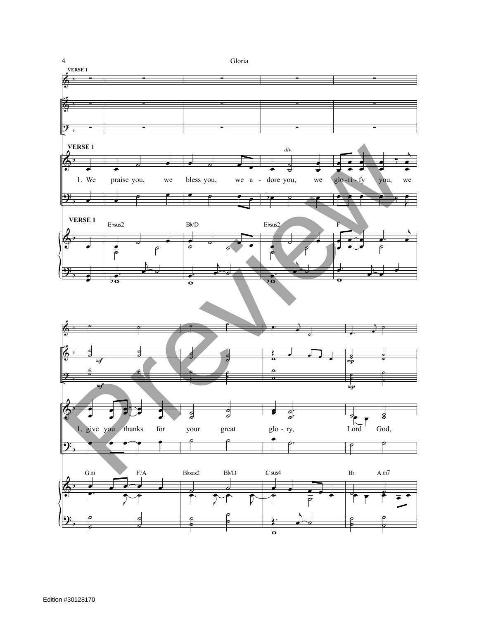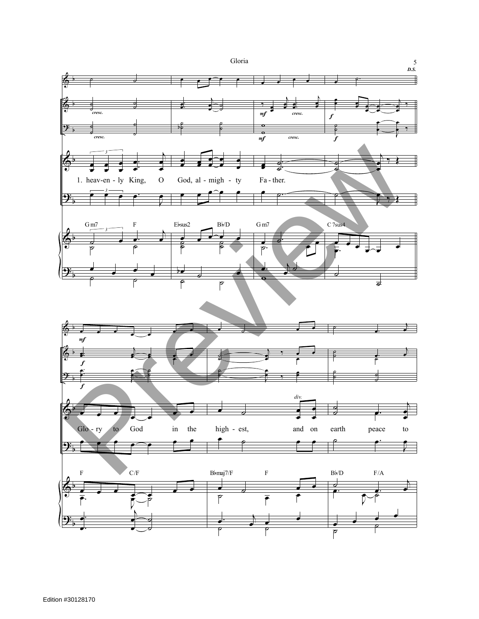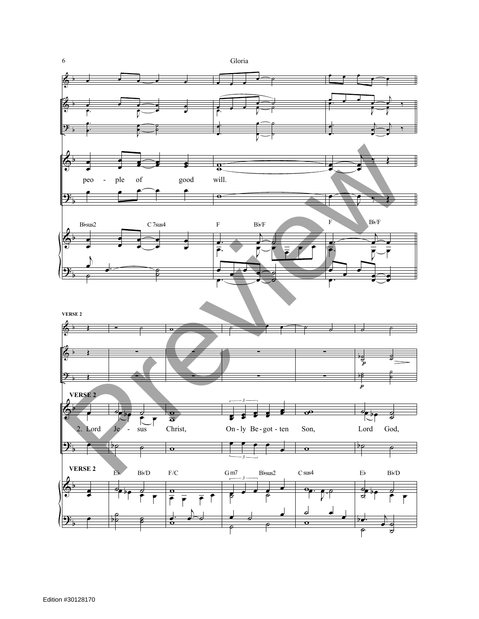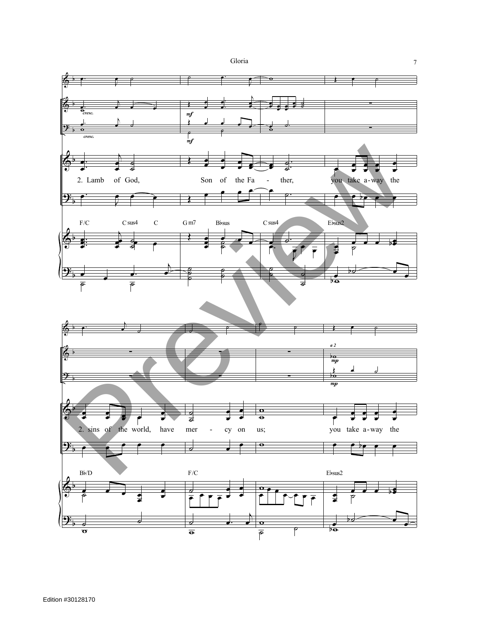



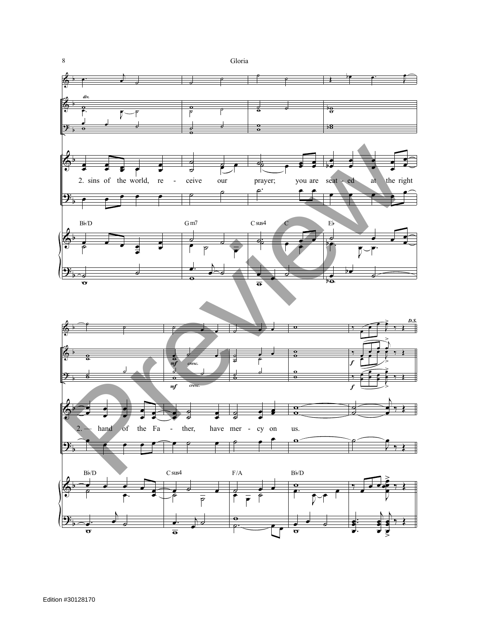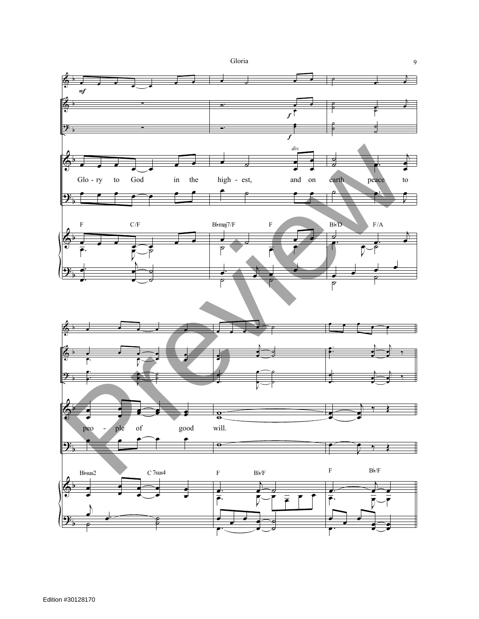

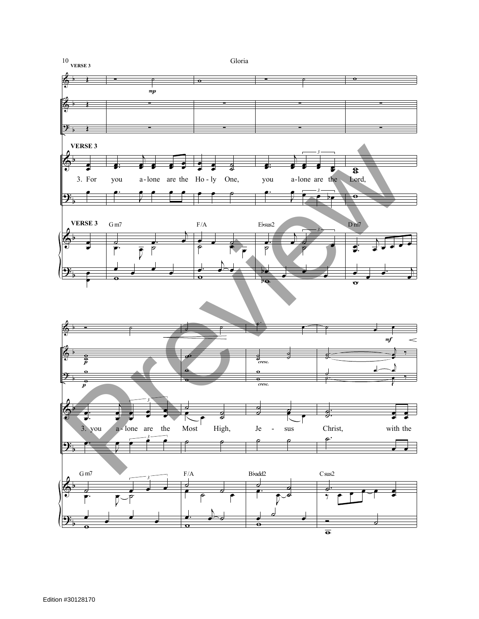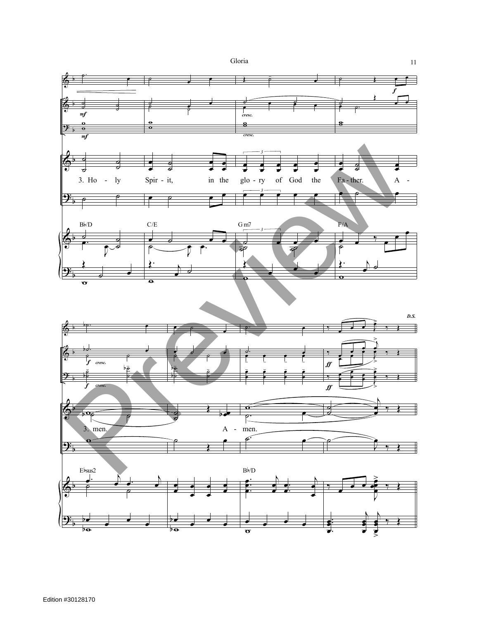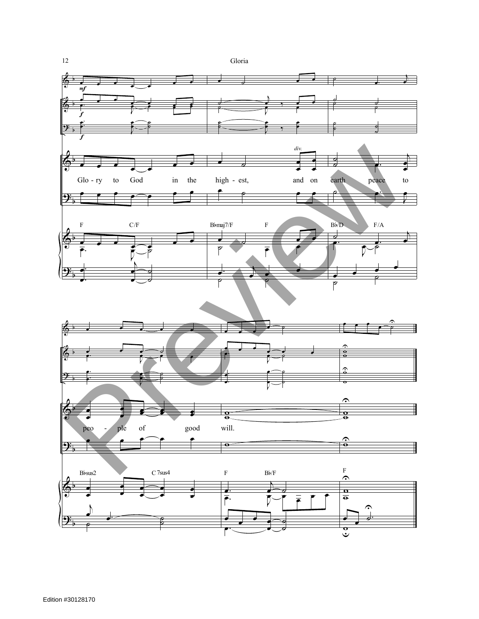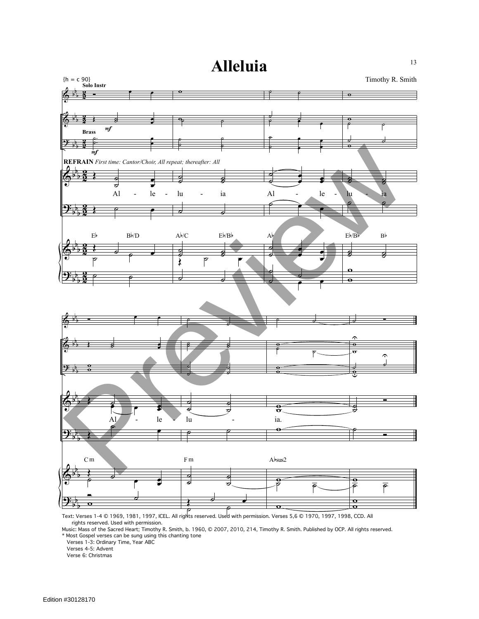<sup>13</sup> **Alleluia**



Text: Verses 1-4 © 1969, 1981, 1997, ICEL. All rights reserved. Used with permission. Verses 5,6 © 1970, 1997, 1998, CCD. All rights reserved. Used with permission.

Music: Mass of the Sacred Heart; Timothy R. Smith, b. 1960, © 2007, 2010, 214, Timothy R. Smith. Published by OCP. All rights reserved. \* Most Gospel verses can be sung using this chanting tone

Verses 1-3: Ordinary Time, Year ABC

Verses 4-5: Advent

Verse 6: Christmas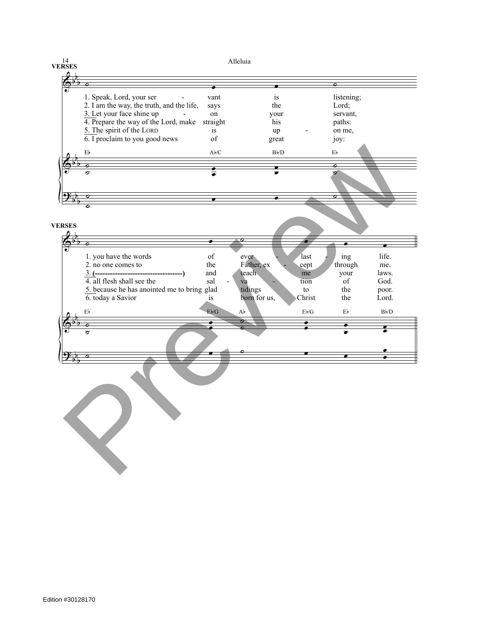**VERSES**

Alleluia

|                     | 1. Speak, Lord, your ser                      | vant                                                                                               | is                     |                                | listening;        |            |
|---------------------|-----------------------------------------------|----------------------------------------------------------------------------------------------------|------------------------|--------------------------------|-------------------|------------|
|                     | 2. I am the way, the truth, and the life,     | says                                                                                               | the                    |                                | Lord;             |            |
|                     | 3. Let your face shine up                     | on                                                                                                 | your                   |                                | servant,          |            |
|                     | 4. Prepare the way of the Lord, make straight |                                                                                                    | his                    |                                | paths:            |            |
|                     | 5. The spirit of the LORD                     | is                                                                                                 | up                     |                                | on me,            |            |
|                     | $\overline{6}$ . I proclaim to you good news  | of                                                                                                 |                        |                                |                   |            |
|                     |                                               |                                                                                                    | great                  |                                | joy:              |            |
| E <sub>b</sub>      |                                               | $\mathsf{A}\flat\mathsf{C}$                                                                        | $B\nmid D$             |                                | $\mathrm{E}\flat$ |            |
|                     |                                               |                                                                                                    |                        |                                |                   |            |
| ø<br>$\sigma$       |                                               |                                                                                                    | $\bullet$<br>$\bullet$ |                                | ०<br>$\sigma$     |            |
|                     |                                               |                                                                                                    |                        |                                |                   |            |
|                     |                                               |                                                                                                    |                        |                                |                   |            |
|                     |                                               |                                                                                                    |                        |                                |                   |            |
|                     |                                               | $\bullet$                                                                                          |                        |                                |                   |            |
| 0                   |                                               |                                                                                                    |                        |                                |                   |            |
|                     |                                               |                                                                                                    |                        |                                |                   |            |
| <b>VERSES</b>       |                                               |                                                                                                    |                        |                                |                   |            |
|                     |                                               |                                                                                                    |                        |                                |                   |            |
|                     |                                               |                                                                                                    |                        |                                |                   |            |
|                     |                                               |                                                                                                    |                        |                                |                   |            |
|                     |                                               |                                                                                                    |                        |                                |                   | life.      |
|                     | 1. you have the words                         | $% \left( \left( \mathcal{A},\mathcal{A}\right) \right) =\left( \mathcal{A},\mathcal{A}\right)$ of | ever                   | last                           | ing               |            |
|                     | 2. no one comes to                            | the                                                                                                | Father, ex             | cept                           | through           | me.        |
|                     |                                               | and                                                                                                | teach                  | me                             | your              | laws.      |
|                     | $\overline{4}$ . all flesh shall see the      | sal                                                                                                | va                     | tion                           | of                | God.       |
|                     | 5. because he has anointed me to bring glad   |                                                                                                    | tidings                | ${\rm to}$                     | the               | poor.      |
|                     | 6. today a Savior                             | is                                                                                                 | born for us,           | Christ                         | the               | Lord.      |
|                     |                                               |                                                                                                    |                        |                                |                   |            |
| Eb                  |                                               | $E\not\vdash/G$                                                                                    | $\mathbf{A}^{\flat}$   | $\mathrm{E}\flat\!/\mathrm{G}$ | $E_{\mathbf{p}}$  | $B\nmid D$ |
|                     |                                               |                                                                                                    |                        |                                |                   |            |
|                     |                                               |                                                                                                    |                        |                                |                   |            |
| $\overline{\sigma}$ |                                               |                                                                                                    |                        |                                |                   |            |
|                     |                                               |                                                                                                    |                        |                                |                   |            |
|                     |                                               |                                                                                                    |                        |                                |                   |            |
|                     |                                               |                                                                                                    |                        |                                |                   |            |
|                     |                                               |                                                                                                    |                        |                                |                   |            |
|                     |                                               |                                                                                                    |                        |                                |                   |            |
|                     |                                               |                                                                                                    |                        |                                |                   |            |
|                     |                                               |                                                                                                    |                        |                                |                   |            |
|                     |                                               |                                                                                                    |                        |                                |                   |            |
|                     |                                               |                                                                                                    |                        |                                |                   |            |
|                     |                                               |                                                                                                    |                        |                                |                   |            |
|                     |                                               |                                                                                                    |                        |                                |                   |            |
|                     |                                               |                                                                                                    |                        |                                |                   |            |
|                     |                                               |                                                                                                    |                        |                                |                   |            |
|                     |                                               |                                                                                                    |                        |                                |                   |            |
|                     |                                               |                                                                                                    |                        |                                |                   |            |
|                     |                                               |                                                                                                    |                        |                                |                   |            |
|                     |                                               |                                                                                                    |                        |                                |                   |            |
|                     |                                               |                                                                                                    |                        |                                |                   |            |
|                     |                                               |                                                                                                    |                        |                                |                   |            |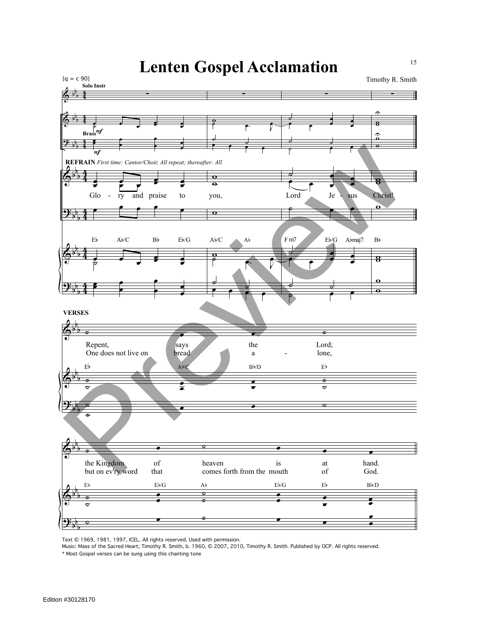

Text © 1969, 1981, 1997, ICEL. All rights reserved. Used with permission.

Music: Mass of the Sacred Heart; Timothy R. Smith, b. 1960, © 2007, 2010, Timothy R. Smith. Published by OCP. All rights reserved.

\* Most Gospel verses can be sung using this chanting tone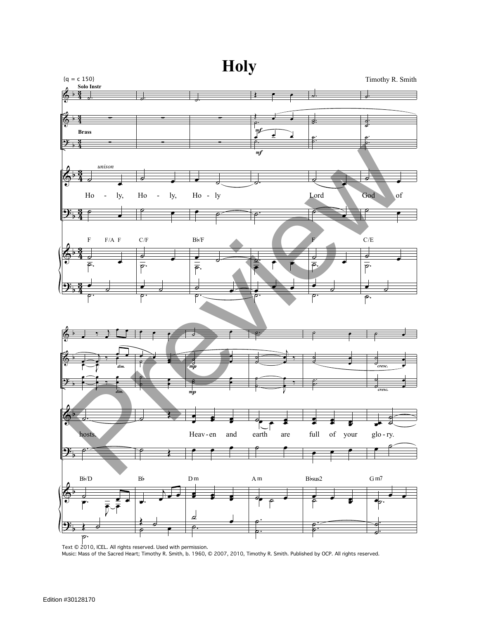



Text © 2010, ICEL. All rights reserved. Used with permission.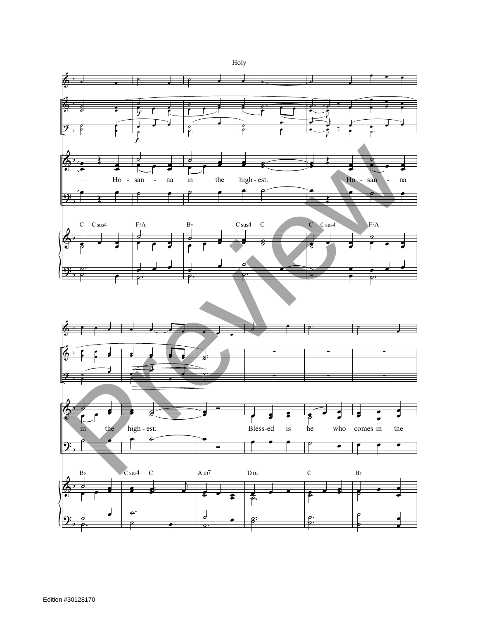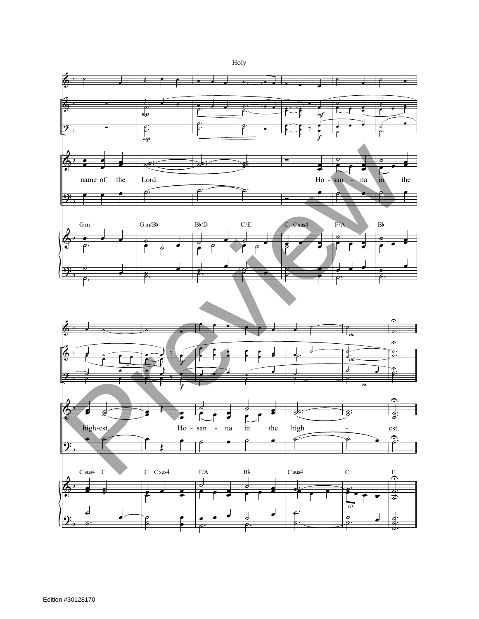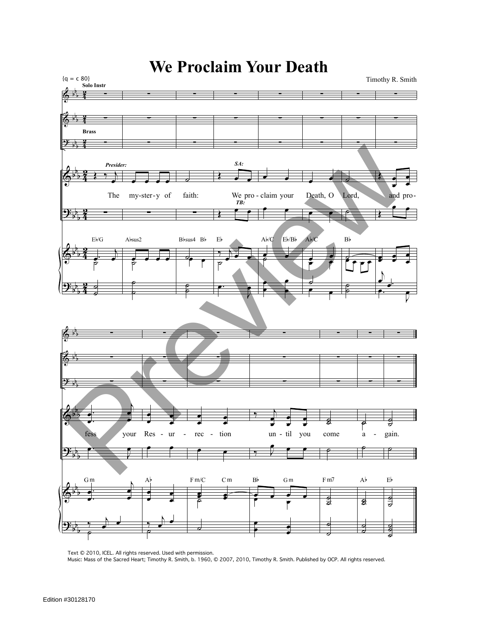

Text © 2010, ICEL. All rights reserved. Used with permission.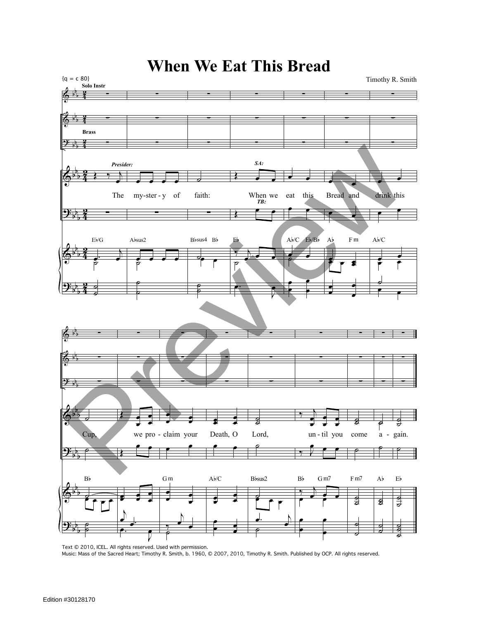

Text © 2010, ICEL. All rights reserved. Used with permission. Music: Mass of the Sacred Heart; Timothy R. Smith, b. 1960, © 2007, 2010, Timothy R. Smith. Published by OCP. All rights reserved.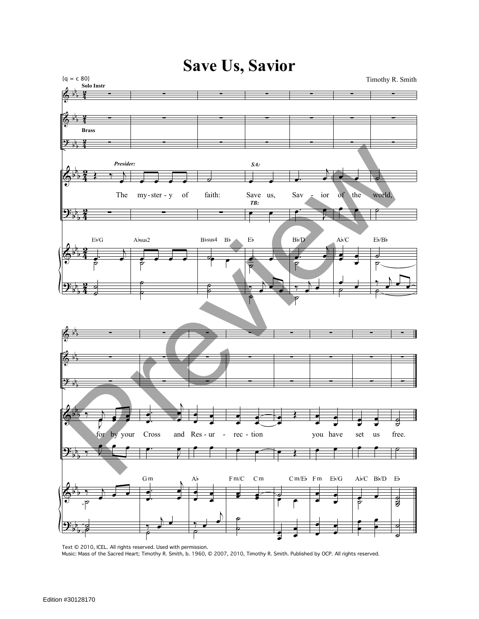

Text © 2010, ICEL. All rights reserved. Used with permission. Music: Mass of the Sacred Heart; Timothy R. Smith, b. 1960, © 2007, 2010, Timothy R. Smith. Published by OCP. All rights reserved.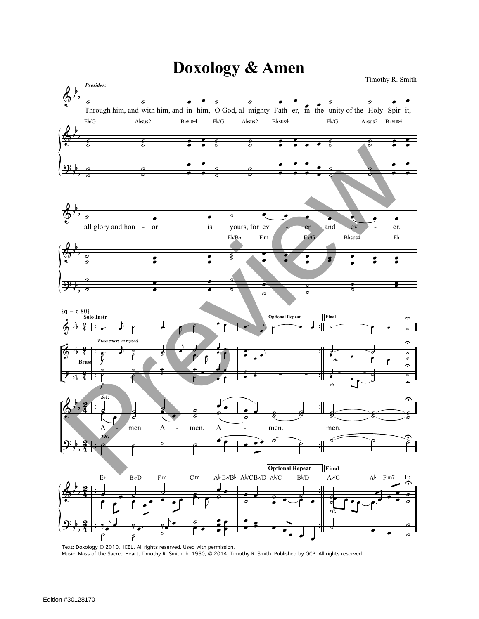## **Doxology & Amen**

 $\pmb{\Phi}$  $\pmb{\Phi}$ <u>ዓ</u>: b b b b b b b b b **Example 19** of the Holy Spir-it, Through him, and with him, and in him, O God, al-mighty Fath-er, in the unity of the Holy Spir-it, ˙  $\frac{1}{\sigma}$  $\frac{1}{2}$  $\overline{\cdot}$  :  $\frac{1}{\sigma}$  $\frac{1}{3}$  $\frac{1}{\sigma}$   $\frac{1}{\sigma}$  $\overline{\bullet}$  :  $\frac{e}{\bullet}$   $\frac{e}{\bullet}$   $\frac{e}{\bullet}$  $rac{9}{2}$  $\frac{1}{\sigma}$   $\frac{1}{\sigma}$  $\overline{\mathbf{e}}$  : œ  $\overline{\phantom{a}}$  $\begin{array}{ccc} \circ & & \circ \ \circ & & \circ \ \circ & & \circ \end{array}$ 。<br>。 **。** 。<br>。 。 ∙<br>∙ ∘ 。<br>。 。 。<br>。 。 。<br>。 。 œ œ  $\mathbf{\overset{\bullet}{\textcolor{blue}{\bullet}}}$  . ● 。<br>● 。  $\overline{a}$  $\frac{1}{2}$ —<br>—<br> œ Eb/G Absus2 Bbsus4 Eb/G Absus2 Bbsus4 Eb/G Absus2 Bbsus4 *Presider:*  $\Phi$  $\Phi$ <u>.</u> b b b b b b b b b **⊘** ● all glory and hon - or ˙  $\overline{\mathbf{c}}$ œ  $\overline{a}$ ○ ●<br> ● œ œ ˙ œ œ œ œ œ œ œ is yours, for ev - er and ev - er. œ  $\frac{1}{\sigma}$  $\overrightarrow{a}$ <sup>œ</sup> <sup>œ</sup>  $\frac{1}{\sqrt{2}}$  $\frac{1}{x}$  $\cdot$  :  $\frac{1}{\epsilon}$  :  $\overline{\mathbf{e}}$  : œ œ  $\begin{array}{c|c} \bullet & \circ \\ \bullet & \circ \end{array}$  $\frac{a}{b}$  $\begin{array}{c|c|c|c|c} \hline \circ & \circ \end{array}$  $\begin{array}{ccc} \circ & & \circ \\ \circ & & \circ \end{array}$ 。<br>。 <br>。 œ  $E\flat/B\flat$  Fm  $E\flat/G$  Bbsus4 Eb & & 9:  $\bm{\Phi}$ <u>.</u>  $\pmb{\phi}$ <u>.</u> b b b b b b b b b b b b b b b b b b b b b  $\frac{2}{4}$  : ... 4 2 4 2 4 2<br>2  $\frac{2}{4}$ <u>5</u> 4 2<br>2  $\frac{2}{4}$ <u>อ</u>ุ . . . . . . . . . . . . . . . . . . . . . . . . . . . . œ  $\cdot$  ) œ ˙  $\overline{\phantom{a}}$ ˙ ˙  $\overline{\mathsf{A}}$ ९<br>∖ ट ˙  $\overline{\phantom{0}}$  $\frac{v}{\epsilon}$ œ  $, \}$  $\frac{1}{e}$ Eb {q = c 80} **Solo Instr** *SA: TB:* f *(Brass enters on repeat)* f **Brass** ˙ ˙ ˙  $\overline{\phantom{a}}$ ˙ ˙  $\frac{a}{b}$ men. ˙  $\overline{\phantom{a}}$  $\stackrel{\circ}{\overline{\cdot}}$   $\stackrel{\circ}{\overline{\cdot}}$ Bb/D  $\overline{\phantom{a}}$ œ  $\frac{1}{2}$  $\epsilon$ ˙  $\frac{1}{2}$ ˙  $\mathbf A$ œ œ ˙  $\overline{\phantom{a}}$  $\frac{1}{\sqrt{2}}$  $\overrightarrow{y}$  $\frac{1}{\sigma}$ F m ˙ ˙  $\overline{\overline{\mathfrak{p}}\,\overline{\mathfrak{p}}}$ œ  $\frac{1}{\sigma}$ ˙  $\frac{1}{2}$ men. ˙ ˙  $\stackrel{\circ}{\cdot}$   $\stackrel{\circ}{\cdot}$ œ ˙ œ œ C m œ œ œ œ œ œ لم له œ œ œ œ  $\mathbf A$  $\bar{\bar{}}$  $\widetilde{\mathbf{e}}$ <mark>๏ 。</mark><br>° œ œ œ œ œ Ab Eb/Bb Ab/CBb/D Ab/C  $\overline{\phantom{a}}$ œ œ. <sup>j</sup> <sup>œ</sup> <sup>œ</sup> <sup>œ</sup> .<br>مرگ J ,<br>P  $\overrightarrow{e}$ <mark>。</mark><br>P œ  $\cdot$   $\cdot$ œ **Optional Repeat** ˙ ∑ ∑ ˙  $\overline{\mathbf{z}}$ men. é **Optional Repeat**  $\overline{\bullet}$ œ œ  $\overrightarrow{ }$  $\overline{\cdot}$  . ∑ ∑ ˙ g<br>S i<br>P ˙  $\overset{\circ}{\bullet}$   $\overset{\circ}{\bullet}$  $\overline{\cdot}$  $\mathrm{B}\flat\!/\mathrm{D}$ **Final** ˙ ˙ œ œ *rit.* ˙  $\epsilon$ ˙  $\overline{\mathbf{S}}$ men. é **Final** ˙  $\frac{1}{2}$  $\overline{\phantom{a}}$  $\overline{\phantom{a}}$ Ab/C *rit. rit.*  $\bullet$ ˙  $\overline{\cdot}$   $\overline{\cdot}$ ˙ ˙ ˙  $\overline{\mathbf{S}}$ ˙  $\mathcal{L}$  $\overline{e}$ .  $\overline{\cdot}$  $Ab$  Fm7 ˙  $\overline{\bullet}$ ˙ ˙  $\hat{\mathbf{C}}$ ˙ ˙  $\hat{\mathbf{C}}$  $\overline{\phantom{0}}$  $\boldsymbol{\mathcal{S}}$  $\hat{\mathbf{C}}$ ˙  $\hat{\mathcal{Z}}$  $\overline{\phantom{0}}$ ˙  $\tilde{\textnormal{\textbf{I}}}$  $\overline{\phantom{a}}$  $\overline{\phantom{0}}$ Eb Timothy R. Smith 2)  $\frac{1}{2}$ <br>  $\frac{1}{2}$ <br>  $\frac{1}{2}$ <br>  $\frac{1}{2}$ <br>  $\frac{1}{2}$ <br>  $\frac{1}{2}$ <br>  $\frac{1}{2}$ <br>  $\frac{1}{2}$ <br>  $\frac{1}{2}$ <br>  $\frac{1}{2}$ <br>  $\frac{1}{2}$ <br>  $\frac{1}{2}$ <br>  $\frac{1}{2}$ <br>  $\frac{1}{2}$ <br>  $\frac{1}{2}$ <br>  $\frac{1}{2}$ <br>  $\frac{1}{2}$ <br>  $\frac{1}{2}$ <br>  $\frac{1}{2}$ <br>  $\frac{1}{2}$ 

‰ œ. ˙

Text: Doxology © 2010, ICEL. All rights reserved. Used with permission. Music: Mass of the Sacred Heart; Timothy R. Smith, b. 1960, © 2014, Timothy R. Smith. Published by OCP. All rights reserved.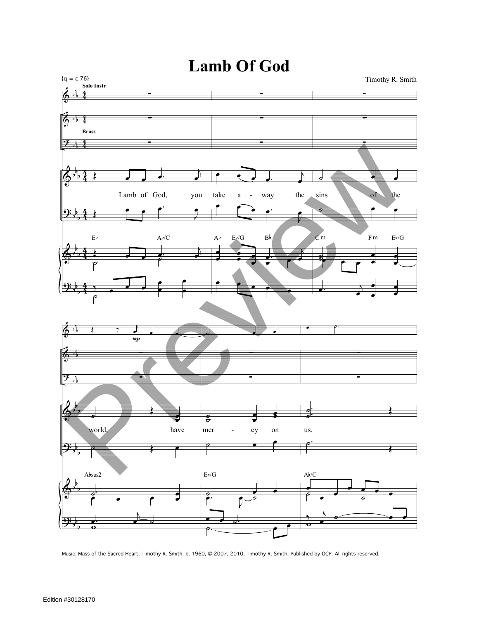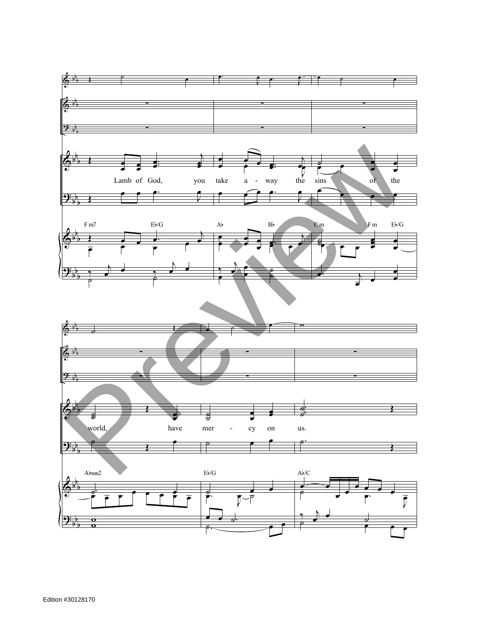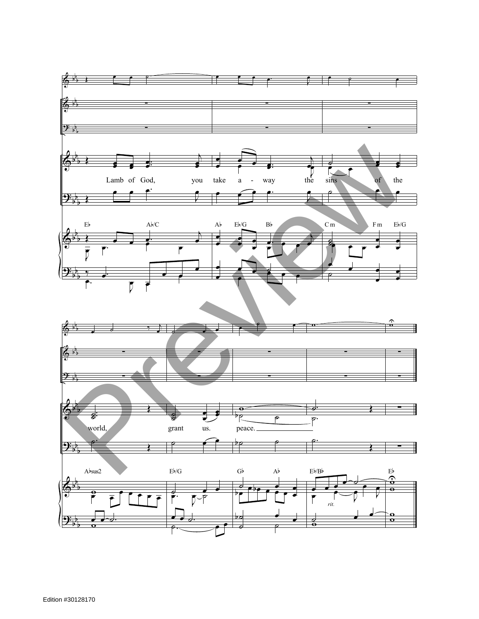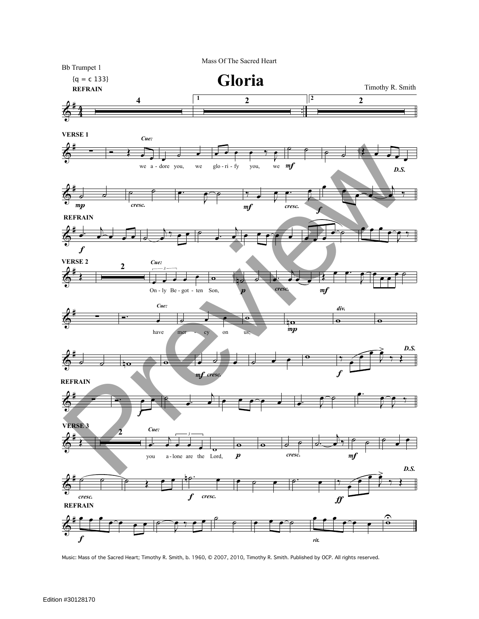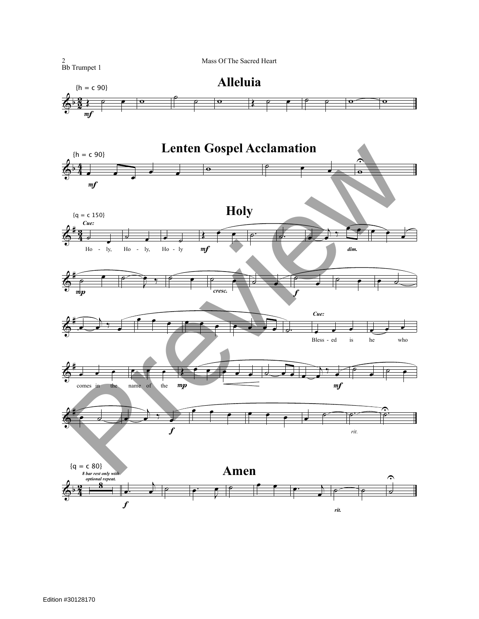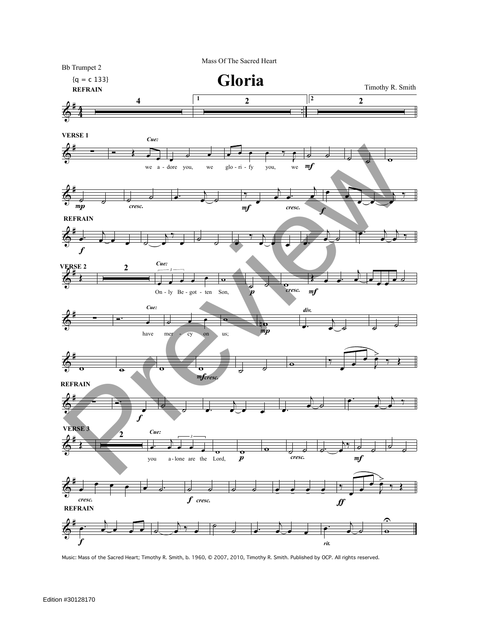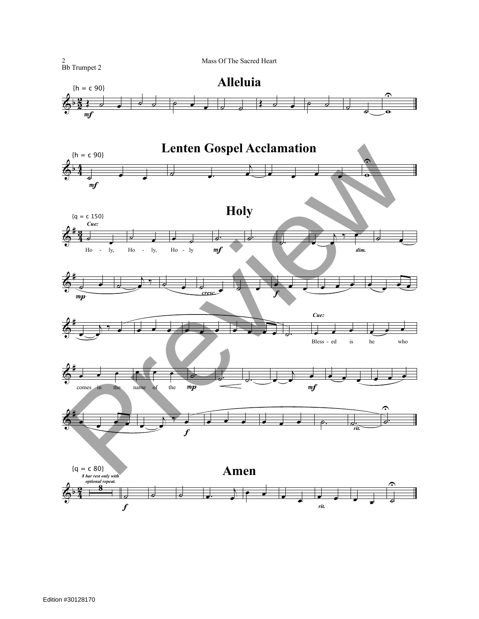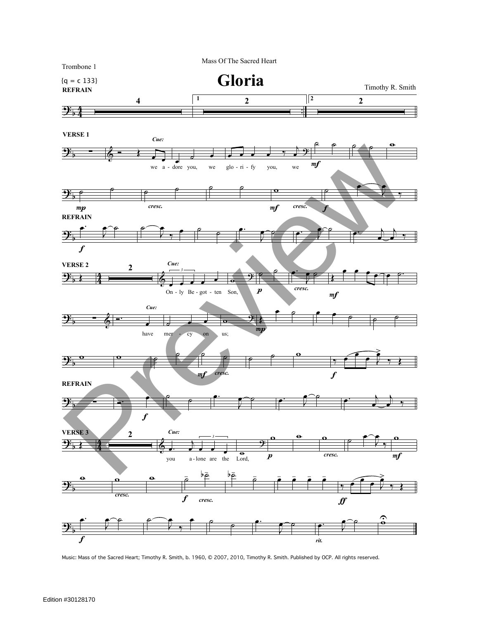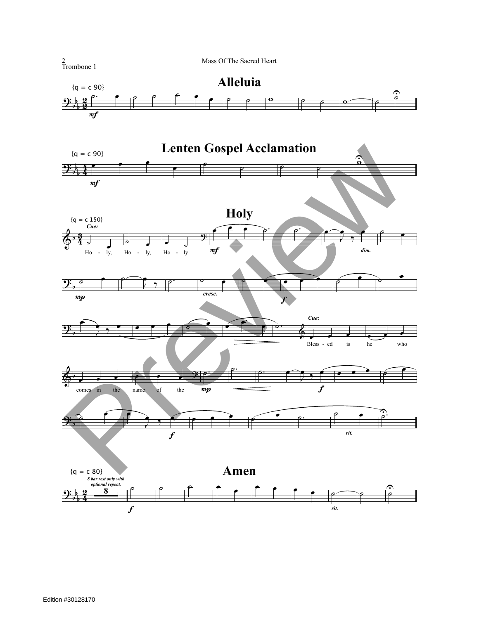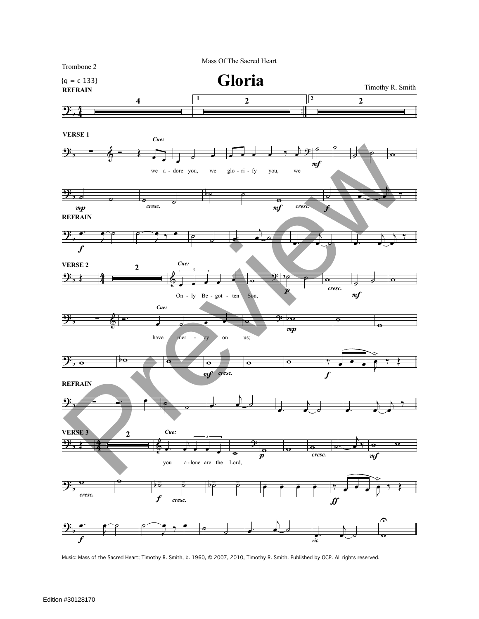